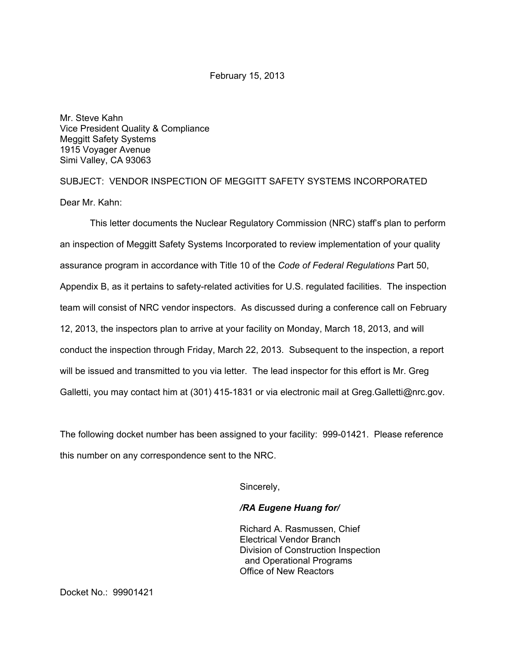February 15, 2013

Mr. Steve Kahn Vice President Quality & Compliance Meggitt Safety Systems 1915 Voyager Avenue Simi Valley, CA 93063

SUBJECT: VENDOR INSPECTION OF MEGGITT SAFETY SYSTEMS INCORPORATED Dear Mr. Kahn:

This letter documents the Nuclear Regulatory Commission (NRC) staff's plan to perform an inspection of Meggitt Safety Systems Incorporated to review implementation of your quality assurance program in accordance with Title 10 of the *Code of Federal Regulations* Part 50, Appendix B, as it pertains to safety-related activities for U.S. regulated facilities. The inspection team will consist of NRC vendor inspectors. As discussed during a conference call on February 12, 2013, the inspectors plan to arrive at your facility on Monday, March 18, 2013, and will conduct the inspection through Friday, March 22, 2013. Subsequent to the inspection, a report will be issued and transmitted to you via letter. The lead inspector for this effort is Mr. Greg Galletti, you may contact him at (301) 415-1831 or via electronic mail at Greg.Galletti@nrc.gov.

The following docket number has been assigned to your facility: 999-01421. Please reference this number on any correspondence sent to the NRC.

Sincerely,

## */RA Eugene Huang for/*

Richard A. Rasmussen, Chief Electrical Vendor Branch Division of Construction Inspection and Operational Programs Office of New Reactors

Docket No.: 99901421